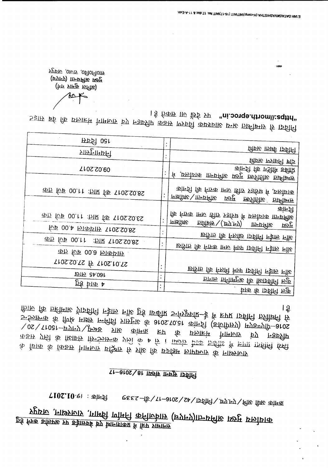कायोलय मुख्य अभियना(एनएच) सार्वजनिक निर्माण विभाग, राजस्थान, जयपुर प्रमाचार पत्रों में प्रकाशनार्थ एवं बेवसाईड पर अपलोड करने हेतु

## <u>11-3102 \ 81 11257 1557 15616</u>

फ़ीर कि तहींमारु ग्राइविनि न्हेारु नॉरु हुई ार्य्बरीप उन्फ्रूफ़र्पर-है मैं हरूप ाइविनि त्रतीक्षि कि 5016-9117 fo frankling de la station de la fatte de la fatte de la fatte de  $\sqrt{92\sqrt{1081-5777}}$ पत्रालय कांगिक कांगिक सप्त के प्राप्तारा $\sqrt{20}$ कड़ार एजी के सिंघार्म फिल्केफ़ के एली के 4 के 1 फ़्लेंस टैक्ट डर्क्टीड में हाए इतिनि प्रती के फिक के किइम्र गिर्माजार प्रक्रिए रि प्रीह कि प्रजनित जाएफगर के नार्थ्याणर

| <b>FPS 0at</b>                            | $\bullet$      |                                                                 |
|-------------------------------------------|----------------|-----------------------------------------------------------------|
| प्राप्तमुत्तार <i>ि</i>                   |                | वीक्र कार्य कवीनी                                               |
|                                           |                | वीवारु एलावनी एवि                                               |
| 7102.20.00                                |                | कान्ज्ञी कि गडीरि छबीरि                                         |
|                                           |                | सम्बन्धित कालीत पुरुष अभियना कार्यालय, मे                       |
| का <i>फि</i> 00.11 : जाए कि 110S.S0.8S    |                | कांमन्री कि निएक 1770 छोड़ रुइ/रुप्र में ,एलोएकि                |
|                                           |                | सम्बन्धित अतिरिक्त मुख्य अभियन्ता/अधीक्षण                       |
|                                           |                | कान्जी                                                          |
| काज सिंख 00.11 : जाए कि 1105.50.85        |                | कि निरुक ामाज ड़ीार रज्ञरिप्त में एरुदियक ाज्यसमीह<br>अक्षीक्षण |
| <b><i>FUB</i></b> 00.4 EIRENTE T10S.S0.8S | $\ddot{\cdot}$ | <b>БВі́вія \ (.БУ.F7) — ПАРЕЩЕ</b><br>पुख्य                     |
| 布万 fup 00.11 : hR 110S.S0.8S              |                | र्षाट लाईन निर्वित एकील कोल ली                                  |
|                                           |                | र्ष्ठाम लाईन निर्विदा फार्म लमा कराने की तारीख                  |
| का रिफ 00.8 छाकांगार                      |                |                                                                 |
| T10S.S0.TS # T10S.10.TS                   |                |                                                                 |
| <b>एगाल लाख</b>                           |                | र्षात कि निर्ज़ी मिरा फ़विती न्हेक़ नॉर                         |
| हर्ड <b>धाक</b> 4                         | $\ddot{\cdot}$ | फ़ागर हानीमनुरू कि सिंहार्जीनी छकु                              |
|                                           |                | कुल ।नावदा के कार्य                                             |

। ई तिकाम ाार छिर्द्र प्रप "ni.oorqe.dhom\\:eqttn" निर्वित के लिए प्राप्त है। इसके लिए के बाद के लिए के बाद कर रही है। इसके पर प्राप्त कर रही है। इसके स

(गिर प्रामकु रूमिर)

T102.10.e। : कॉन्ज़ी

Frere or to optofiour (ज्यानग्र) क्रियमी (पनएच)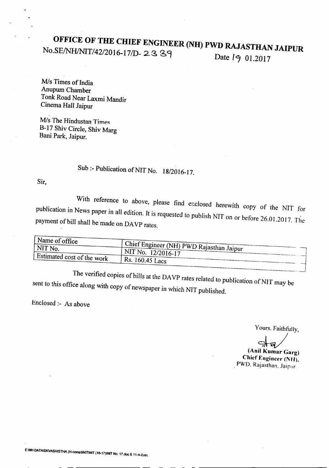# **OFFICE OF THE CHIEF ENGINEER (NH) PWD RAJASTHAN JAIPUR**

No.SE/NH/NIT/42/2016-17/D-23 39 Date *19* 01.2017

*Mis* Times of India Anupum Chamber Tonk Road Near Laxmi Mandir Cinema Hall Jaipur

**M**/s The Hindustan Times B-17 Shiv Circle, Shiv Marg Bani Park, Jaipur.

## Sub :- Publication of NIT No. 18/2016-17.

Sir,

With reference to above, please find enclosed herewith copy of the NIT for publication in News paper in all edition. It is requested to publish *NIT* on or before 26.01.2017. The payment of bill shall be made on DAVP rates.

| $_1$ Name of office        | Chief Engineer (NH) PWD Rajasthan Jaipur |
|----------------------------|------------------------------------------|
| ' NIT No.                  | $\mid$ NIT No. 12/2016-17                |
| Estimated cost of the work | Rs. 160.45 Lacs                          |

The verified copies of bills at the DAVP rates related to publication of NIT may be sent to this office along with copy of newspaper in which NIT published.

Enclosed:- As above

Yours. Faithfully,

. -<br>. . (Anil Kumar Garg)

Chief Engineer (Nil), . PWD. Rajasthan. Jaipur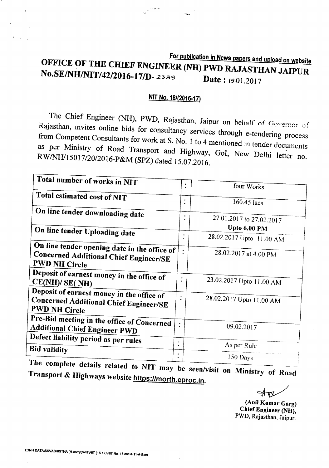## For publication in News papers and *upload* on website OFFICE OF THE CHIEF ENGINEER (NH) PWD RAJASTHAN JAIPUR **No.SE/NH/NIT/42/2016-17/D-2339** Date: 19.01.2017

#### *NIT* No. 18/(2016-17)

The Chief Engineer (NH), PWD, Rajasthan, Jaipur on behalf of Governor of Rajasthan, Invites online bids for consultancy services through e-tendering process from Competent Consultants for work at S. No. 1 to 4 mentioned in tender documents as per Ministry of Road Transport and Highway, GoI, New Delhi letter no. *RWINHJ15017/2012016-P&M* (SPZ) dated 15.07.2016.

| Total number of works in NIT                                          |           |                               |
|-----------------------------------------------------------------------|-----------|-------------------------------|
|                                                                       |           | ٠<br>four Works<br>$\bullet$  |
| Total estimated cost of NIT                                           |           |                               |
|                                                                       |           | ٠<br>160.45 lacs              |
| On line tender downloading date                                       |           |                               |
|                                                                       |           | 27.01.2017 to 27.02.2017<br>٠ |
|                                                                       |           | Upto 6.00 PM                  |
| On line tender Uploading date                                         |           | 28.02.2017 Upto 11.00 AM      |
|                                                                       |           |                               |
| On line tender opening date in the office of                          | $\bullet$ | 28.02.2017 at 4.00 PM         |
| <b>Concerned Additional Chief Engineer/SE</b><br><b>PWD NH Circle</b> |           |                               |
|                                                                       |           |                               |
| Deposit of earnest money in the office of                             | ٠         |                               |
| CE(NH)/ SE(NH)                                                        |           | 23.02.2017 Upto 11.00 AM      |
| Deposit of earnest money in the office of                             | ٠         |                               |
| <b>Concerned Additional Chief Engineer/SE</b>                         |           | 28.02.2017 Upto 11.00 AM      |
| <b>PWD NH Circle</b>                                                  |           |                               |
| Pre-Bid meeting in the office of Concerned                            |           |                               |
| <b>Additional Chief Engineer PWD</b>                                  | $\bullet$ | 09.02.2017                    |
|                                                                       |           |                               |
| Defect liability period as per rules                                  | $\bullet$ | As per Rule                   |
| <b>Bid validity</b>                                                   | $\bullet$ |                               |
| nde e                                                                 | $\bullet$ | 150 Days                      |

 $T_{\text{max}}$  complete details related to NIT may be seen/visit on Ministry of Road Transport & Highways website *https:llmorth.eproc.in.*

(Anil Kumar Garg) Chief Engineer (NH), PWD, Rajasthan, Jaipur.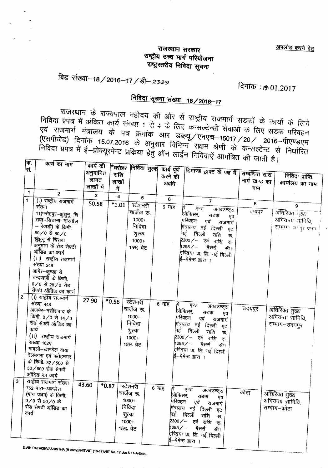अपलोड करने हेतु

### ~'\ij'MA **lji(ij)Ji(** राष्ट्रीय उच्च मार्ग परियोजना ...<br>राष्ट्रस्तरीय निविदा सूचना

## विड संख्या-18/2016-17/डी-2339

 $F$ 

## दिनांक:  $.901.2017$

## <u>निविदा सूचना संख्या 18/2016-17</u>

<sup>~</sup> <i> ~IGqql('f *'l")'lli* <tT 3iR <f '<1~1I ""''1111 "'NjT <i> 'I>TIit <i> fc:ril निविदा प्रपत्र में अंकित कार्य संख्या 1 से 4 के लिए कन्सल्टेन्सी सेवाओं के लिए सड़क परिवहन<br>एवं राजमार्ग मंत्रालय के पत्र क्रमांक आर डब्ल्यू / एनएच–15017 / 20 / 2016–पीएण्डएम<br>(एसपीजेड) दिनांक 15.07.2016 के अनु sa राजनारा मंत्रालय के पत्र क्रमांक आर डब्ल्यू /एनएच-15017 /20 / 2016-पीएण्डएम<br>(एसपीजेड) दिनांक 15.07.2016 के अनुसार विभिन्न सक्षम श्रेणी के कन्सल्टेच्ट से रिपर्टिज PIfil'l <sup>f</sup> WI?! if <sup>~</sup> II)ifI!~i'j"CII Fil> <rr <sup>~</sup> aiR i'f\$f PIfil'l I~ 311>i8l{f <tT \iffil) *t* <sup>I</sup>

|                | न्तिः<br>स   | पगय का नाम                      | कार्य की<br>अनुमानित | न्धरोहर<br>राशि         | निविदा शुल्क     |         |                  | कार्य पूर्ण डिमाण्ड ड्राफ्ट के पक्ष में सिम्बन्धित रा.रा. |           |               |                           |  |
|----------------|--------------|---------------------------------|----------------------|-------------------------|------------------|---------|------------------|-----------------------------------------------------------|-----------|---------------|---------------------------|--|
|                |              |                                 | लागत                 |                         |                  |         | करने की          |                                                           |           | मार्ग खण्ड का | निविदा प्राप्ति           |  |
|                |              |                                 | लाखों में            | लाखों<br>में            |                  |         | अवधि             |                                                           |           | नाम           | कार्यालय का नाम           |  |
|                | $\mathbf{1}$ | $\overline{2}$                  |                      |                         |                  |         |                  |                                                           |           |               |                           |  |
|                | $\mathbf{1}$ | (1) राष्ट्रीय राजमार्ग          | $\mathbf{3}$         | $\overline{\mathbf{4}}$ | 5                |         | $\boldsymbol{6}$ | $\overline{7}$                                            |           |               |                           |  |
|                |              | संख्या                          | 50.58                | $*1.01$                 | स्टेशनरी         |         | 6 माह            | एण्ड                                                      |           | 8             | 9                         |  |
|                |              | 11(फतेहपुर–झुंझुनू–चि           |                      |                         | चार्जेज रू       |         |                  | अकाउण्ट्स<br>.<br>ओफिसर,                                  |           | जयपुर         | अतिरिक्त <sub>ा</sub> ख्य |  |
|                |              | रावा-सिंघाना-नारनौल             |                      |                         | 1000+            |         |                  | सडक<br>परिवहन<br>एवं                                      | एव        |               | अभियन्ता सानिवि,          |  |
|                |              | – रेवाडी) के किमी               |                      |                         | निविदा           |         |                  | राजमार्ग<br>मित्रालय नई दिल्ली                            |           |               | सम्भाग- जन्मुर प्रथम      |  |
|                |              | 50/0 से 80/0                    |                      |                         | शुल्क            |         |                  | नई दिल्ली<br>राशि                                         | एट<br>रू. |               |                           |  |
|                |              | झुंझुनू से चिरावा               |                      |                         | $1000+$          |         |                  | ∤2300 ⁄ –   एवं   राशि                                    | ্ক        |               |                           |  |
|                |              | अनुभाग के रोड सेफ्टी            |                      |                         | 15% ਕੇਟ          |         |                  | 1295/-<br>मैसर्स<br>सी1                                   |           |               |                           |  |
|                |              | ऑडिड का कार्य                   |                      |                         |                  |         |                  | <sup>ह्रणि</sup> डया प्रा. लि. नई दिल्ली                  |           |               |                           |  |
|                |              | (।।) राष्ट्रीय राजमार्ग         |                      |                         |                  |         |                  | ई–पेमेन्ट द्वारा ।                                        |           |               |                           |  |
|                |              | संख्या 248                      |                      |                         |                  |         |                  |                                                           |           |               |                           |  |
|                |              | आमेर-कुण्डा से                  |                      |                         |                  |         |                  |                                                           |           |               |                           |  |
|                |              | चन्दवाजी के किमी.               |                      |                         |                  |         |                  |                                                           |           |               |                           |  |
|                |              | $0/0$ से 28/0 रोड               |                      |                         |                  |         |                  |                                                           |           |               |                           |  |
|                |              | सेफ्टी ऑडिड का कार्य            |                      |                         |                  |         |                  |                                                           |           |               |                           |  |
| $\overline{c}$ |              | (1) राष्ट्रीय राजमार्ग          | 27.90                | $*0.56$                 | स्टेशनरी         |         |                  |                                                           |           |               |                           |  |
|                |              | संख्या 448<br>अजमेर-नसीराबाद के |                      |                         | चार्जेज रू.      | 6 माह   | À.               | एण्ड<br>अकाउण्ट्स                                         |           | उदयपुर        |                           |  |
|                |              | किमी. 0/0 से 14/0               |                      |                         | $1000+$          |         |                  | .<br>अोफिसर,<br>सडक<br>एव                                 |           |               | अतिरिक्त मुख्य            |  |
|                |              | रोड सेफ्टी ऑडिड का              |                      |                         | निविदा           |         |                  | परिवहन<br>एवं<br>राजमार्ग                                 |           |               | अभियन्ता सानिवि,          |  |
|                |              | कार्य                           |                      |                         |                  |         |                  | मंत्रालय नई दिल्ली एट                                     |           |               | सम्भाग-उदयपुर             |  |
|                |              | (।) राष्ट्रीय राजमार्ग          |                      |                         | शुल्क<br>$1000+$ |         |                  | नई दिल्ली<br>राशि<br>$\overline{m}$                       |           |               |                           |  |
|                |              | संख्या 162ए                     |                      |                         | 15% ਕੇਟ          |         |                  | 2300 ⁄ – एवं राशि<br>रू<br>$1295 / -$<br>मैसर्स           |           |               |                           |  |
|                |              | मावली-खाण्डेल वाया              |                      |                         |                  |         |                  | सी1<br>इण्डिया प्रा. लि. नई दिल्ली                        |           |               |                           |  |
|                |              | रेलमगरा एवं फतेहनगर             |                      |                         |                  |         |                  | ई–पेमेन्ट द्वारा ।                                        |           |               |                           |  |
|                |              | के किमी. 32/500 से              |                      |                         |                  |         |                  |                                                           |           |               |                           |  |
|                |              | 50/500 रोड सेफ्टी               |                      |                         |                  |         |                  |                                                           |           |               |                           |  |
|                |              | ऑडिड का कार्य                   |                      |                         |                  |         |                  |                                                           |           |               |                           |  |
| 3              |              | राष्ट्रीय राजमार्ग संख्या       | 43.60                |                         |                  |         |                  |                                                           |           |               |                           |  |
|                |              | 752 बांरा-अकलेरा                |                      | $*0.87$                 | स्टेशनरी         | $6$ माह | Þ,               | एण्ड<br>अकाउण्ट्स                                         |           |               |                           |  |
|                |              | (भाग प्रथम) के किमी.            |                      |                         | चार्जेज रू.      |         | आ़ेफिसर,         | राडक<br>एव                                                | कोटा      |               | अतिरिक्त मुख्य            |  |
|                |              | $0/0$ से 50/0 के                |                      |                         | 1000+            |         | परिवहन           | एवं<br>राजमार्ग                                           |           |               | अभियन्ता सानिवि,          |  |
|                |              | रोड सेफ्टी ऑडिड का              |                      |                         | निविदा           |         |                  | मंत्रालय नई दिल्ली ए <del>ट</del>                         |           |               | सम्भाग–कोटा               |  |
|                | कार्य        |                                 |                      |                         | शुल्क            |         |                  | नई दिल्ली<br>राशि<br>ক.                                   |           |               |                           |  |
|                |              |                                 |                      |                         | $1000+$          |         |                  | 2300⁄– एवं राशि<br>रू.                                    |           |               |                           |  |
|                |              |                                 |                      |                         | 15% ਕੇਟ          |         | $1295/ -$        | मैसर्स<br>सी1                                             |           |               |                           |  |
|                |              |                                 |                      |                         |                  |         |                  | हरिडया प्रा. लि. नई दिल्ली                                |           |               |                           |  |
|                |              |                                 |                      |                         |                  |         |                  | ई–पेमेन्ट द्वारा ।                                        |           |               |                           |  |

E:INH DATAISKVASHISTHA (H-comp)INITINIT (16-17)INIT No. 17.doc & 11-A-Extn.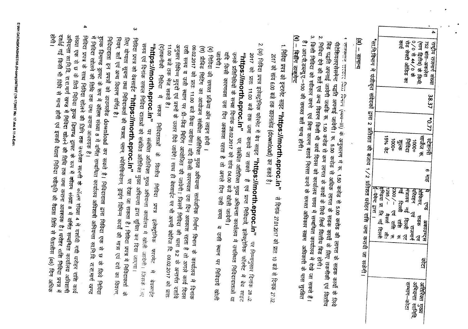| 4 | 횗<br>0/0日4/0子<br>गेड सेपटी ऑडिड का<br>राष्ट्रीय राजमार्ग संख्या<br>752 बारा-अकलेरा<br>(गग द्वितेय) के किमी.                                                                                                                                                                                                                                                                                                                                                                                                                                                                                                                                                        | 38.37 | 1 22 0* | नाजेज रू<br>15% 元<br>स्टेशनरी<br>$+0001$<br>निविद्य<br>10001<br>रेजु<br>जी | თ<br>븳 | इण्डिया प्रा. ति. नदुं दिल्ली<br>2300/- एवं <del>शा</del> ी<br>$-295/$<br>Ҹ<br>show.<br>मेत्रालय नहे<br>≖<br>मियहन<br>दिल्ली<br><u>ଧ୍ୟ</u><br>খ্ | मैसर्स<br>सड़क<br><sup>ाव</sup> राजमार्ग<br>दिल्ली एट<br>रोही<br>अकाउण्ट्स<br><sub>ନୀ</sub><br>31<br>য়ৃ<br>3l | प्रै | सम्माग-काटा<br>अभियन्ता सानिति<br>अतिरिक्त मुख्य<br>अतिरिक्त मुख्य |
|---|--------------------------------------------------------------------------------------------------------------------------------------------------------------------------------------------------------------------------------------------------------------------------------------------------------------------------------------------------------------------------------------------------------------------------------------------------------------------------------------------------------------------------------------------------------------------------------------------------------------------------------------------------------------------|-------|---------|----------------------------------------------------------------------------|--------|--------------------------------------------------------------------------------------------------------------------------------------------------|----------------------------------------------------------------------------------------------------------------|------|--------------------------------------------------------------------|
|   | *सा.नि.विभाग में पंजीकृत संवेदकों द्वारा 2 प्रतिशत की बजाय 1/2 प्रतिशत धरोहर राशि जमा करायी जा सकेगी।                                                                                                                                                                                                                                                                                                                                                                                                                                                                                                                                                              |       |         |                                                                            |        | इं-फेर्न्ट द्वारा ।                                                                                                                              |                                                                                                                |      |                                                                    |
|   | $\overline{30} - \overline{31414}$                                                                                                                                                                                                                                                                                                                                                                                                                                                                                                                                                                                                                                 |       |         |                                                                            |        |                                                                                                                                                  |                                                                                                                |      |                                                                    |
|   | <u>(ब) – बिडींग डाकुमेन्ट</u><br>2. निविदा देने की शर्ते एवं अन्य विवरण किसी भी कार्य दिवस को कार्यालय समय में सम्बन्धित कार्यालय में देखे जा सकते हैं।<br>'। राजस्थान राज्यात दिता विनान (व्ययनात) के अनुसारण में रू. 1.50 करोड से 5.00 करोड की लागत के सडक कार्यों के लिये<br>है। आर.पी.डब्ल्यू.ए.–100 की समस्त शर्त मान्य होगी।<br>किसी निविदा को स्वीकार करने  एवं बिना कारण बताये निरस्त करने के समस्त अधिकार सक्षम  अधिकारी के पास मुरक्षित<br>बिड पद्वति अपनाई जावेगी जबकि रू. 1.50 करोड से कम लागत के कार्यों के लिये सिर्फ विल्तीय बिड होगी।<br>पीटेशियलएसेसमेन्ट पद्धति अपनाई जावेगी। रू. 5.00 करोड से अधिक लागत के सडक कार्यो के लिए तकनीकी एवं वित्तीय |       |         |                                                                            |        |                                                                                                                                                  |                                                                                                                |      |                                                                    |
|   | । নিবিল प्रपत्र को इन्टरनेट साइट "https://morth.eproc.in"<br>2017 को सांय 6.00 बजे तक डाउनलोड (download) कर सकते है।                                                                                                                                                                                                                                                                                                                                                                                                                                                                                                                                               |       |         |                                                                            |        |                                                                                                                                                  |                                                                                                                |      | से दिनांक 27.01.2017 को प्रात: 10 बजे से दिनांक 27.02              |
|   | 2 (अ) निविदा प्रपत्र इलेक्ट्रोनिक फॉरमेट में बेव साइट <b>"https://morth.eproc.in"</b> पर निम्नानुसार दिनांक 2 <sub>8 /2.</sub><br>। रीपंगल<br>यदि किसी कारणवश उस दिन अवकाश रहता है तो अगले दिन उसी समय<br>उनके प्रतिनिधियों के समक्ष दिनांक 28.02.2017 को सांय 04.00 बजे खोली जायेगी।<br>"https://morth.eproc.in" पर, संबंधित अतिरिक्त मुख्य अभियन्ता कार्यालय में उपस्थित निविदादाताओं या<br>2017 को प्रातः 11.00 बजे तक जमा कराये जा सकते  हैं एवं प्राप्त निविदायें, इलेक्ट्रोनिक फॉरमेट में बेव साइट                                                                                                                                                           |       |         |                                                                            |        |                                                                                                                                                  |                                                                                                                |      | व उसी स्थान पर निविदाये खोती                                       |
|   | अनुसार विभिन्न मुद्दवीं एवं प्रश्नों के उत्तर दिये जावेंगे। साथ <del>श</del> े क् <del>रेन्नजन्त्र का ९</del><br>उसी समय व उसी स्थान पर प्री–बिड मिटिंग आयोजित की जावेगी। जिसमें निविदा की धारा 9.2 के अन्तर्गत दर्शाये<br>09.02.2017 को प्रात: 11.00 बजे किया जायेगा। यदि किसी कारणवश उस दिन अवकाश रहता है तो अगले कार्य दिवस<br>(स) प्रीविड मिटिंग का आयोजन संबंधित अतिरिक्त मुख्य अभियन्ता सार्वजनिक निर्माण विभाग के कार्यालय में दिनांक<br>(व) निविदा की समस्त प्रकिया ऑन लाइन होगी ।                                                                                                                                                                         |       |         |                                                                            |        |                                                                                                                                                  |                                                                                                                |      |                                                                    |

(द)तकनीकी निविदा में अंगुसार विमिन्न मुद्ददो एवं प्रश्न्मों के उत्तर दिये जावेंगे। साथ ही बेवसाईट पर भी अपनी क्वेरिज दि. 09.02.2017 को प्रात:<br>11.00 बजे तक भेज सकते है।<br>11.00 बजे तक भेज सकते है।

"https://morth.eproc.in सफल निविदाताओं के वित्तीय निविदा प्रपत्र इलेक्ट्रोनिक फारमेट में बेवसाईट

पर संबंधित अतिरिक्त मुख्य अभियन्ता कार्यालय में खोली जायेगी। जिसके !<sub>ोरा्</sub>

समय एवं दिनांक सफल निविदा दाताओं को संबंधित अतिरिक्त मुख्य अभियन्ता द्वारा सूचित कर दिया जाएगा।<br>समय एवं दिनांक सफल निविदा दाताओं को संबंधित अतिरिक्त मुख्य अभियन्ता द्वारा सूचित कर दिया जाएगा।

শিবিল प्रपत्र को वेबसाईट "https://morth.eproc.in"

नियम, शर्तें एवं अन्य विवरण वर्णित है। लिए योग्यता सूचना तथा निविदाकर्ता की पात्रता, प्लान, स्पेसिफिकेशन, ड्राइंग विभिन्न कार्यों की मात्रा एवं दरों का विवरण,

 $\blacktriangle$ 

में निविदा खोलने की तिथि तक जमा कराना आवश्यक है।

पर देखा जा सकता है। निविदा प्रपत्र में निविदाकर्ता के

 $\boldsymbol{\omega}$ 

E:NH DATAISKVASHISTHA (H-comp)NITNIT (16-17)NIT No. 17.doc & 11-A-Extr

दशर्डि गई किसी भी विधि से मान्य होगी एवं इसकी वैदाता निविदा स्वीकृति की वैदाता तिथि से पैतालीस (45) दिन अधिक अभियन्ता सानि.वि. रा.रा.मार्ग खण्ड में निविदा खोलने की तिथि तक जमा कराना आवश्यक है। धरोहर शश्चि निविदा प्रपत्र मे

निविदा प्रपत्र के साथ निविदा खोलने की तिशि तक उपरोक्त सारणी के कॉलम संख्या 4 में दर्शायी गयी धरोहर राशि कार्य संख्या एक से छ के लिये निविदा **शुल्क डिमाण्ड ड्राफ्ट के रूप में कॉलम** संख्या 8 में वर्णित सम्बन्धित कार्यालय अधिशापी<br>~~

र्डुल्क डिमाण्ड ड्राफ्ट के रूप में कॉलम संख्या 8 में वर्णित सम्बन्धित कार्यालय अधिशाषी अभियन्ता सा.नि.वि. रा.रा.मार्ग खण्ड निविदादाता इन प्रपत्रों को डाउनलोड download कर सकते है। निविदादाता द्वारा निविदा एक से छ के लिये निविदा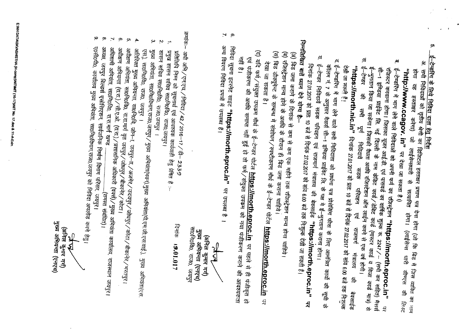E.NH DATAISKVASHISTHA (H-comp)NITNIT (16-17)NIT No. 17.doc & 11-A-Exh

मुख्य अभियन्ता (एनएच) (अनिल कुमार गर्न) AAK

ए०सी०पी०, कार्यालय मुख्य अभियंता, सा0नि0विभाग,राज0,जयपुर को निविदा अपलोड करने हेतु।

- φ.
	-
- ്
- $\mathbf{N}$ अधिशाषी अभियंता, साठनिठविठ, रा.रा.मार्ग खण्ड ...................................(समस्त संबंधित)।<br>अध्यक्ष, जयपुर बिल्डर्स एसोसिएशन, सार्वजनिक निर्माण विभाग परिसर, जयपुर।
- अधीक्षण अभियन्ता (रा.रा.) ⁄ सी.ए.ओ. (रा.रा.) / प्रशासनिक अधिकारी (वक्सी) / मुख्य अभियंता कार्यालय, राजस्थान जयपुर।
- - ္မာ अधीक्षण अभियंता, सा0नि0वि0, रा.रा.मार्ग वृत जयपुर ⁄ जोधपुर / बीकानेर / कोटा।
		- अतिरिक्त मुख्य अभियन्ता, सा0नि0वि, जोन–ा, जयपुर–ा, ⁄ अजमेर ⁄ जदयपुर ⁄ जोधपुर ⁄ कोटा ⁄ बीकानेर ⁄ भरतपुर।
		-
		-
		-
		-
		-
		- $\mathfrak{S}$
		-
		-
		-
		-
		-
		-
		-
		-
		-
		-
		-
		-
		-
		-
		-
		-
		-
		-
		-
		-
		-
		-
		-
		-
		-
		-
		- $\blacktriangle$
		-
		- $\omega$ मुख्य अभियंता, सा0नि0विभाग,राज0,जयपुर / मुख्य अभियंता(भवन),मुख्य अभियंता(पी.एम.जी.एस.वाई.), मुख्य अभियंता(एस.
			- शासन सचिव सा0नि0वि0, राज0,जयपुर । प्रमुख शासन सचिव सा0नि0वि0, राज0,जयपुर। प्रतिलिपि निम्न को सूचनार्थ एवं आवश्यक कार्यवाही हेतु प्रेषित हैं :-अधी अमि / एन.एच. / निविदा / 42 / 2016-17 / डी- 2339 दिनांक 19.01.017

क्रमाकः–

 $\mathbf{N}$ 

 $\rightarrow$ 

सा0नि0वि0, राज0, जयपुर

मुख्य अभियन्ता (एनएच) (अनिल कुमार गर्ग) 

अन्य विवरण निविदा प्रपत्रों में उपलब्ध हैं। निविदा सूचना इटरनेट साइट "https://morth.eproc.in" पर उपलब्ध है <sub>।</sub> एवं पंजीकरण की अवधि समाप्त नहीं हुई हो तो फर्म/संयुक्त उपकम को नया पंजीकरण कराने की आवश्यकता

(द) यदि फर्म ⁄ संयुक्त उपकम मौर्थ के ई–टेण्डर पोर्टल <mark>https://morth.eproc.in</mark> पर पहले से ही पंजीकृत हो

(स) विड डोक्यूमेन्ट के सम्बन्ध में संशोधन ⁄ स्पष्टीकरण मौर्थ के ई–टेण्डर पोर्टल **https://morth.eproc.in** पर

(व) रजिस्ट्रेशन मान्य होने के अवधि के दौरान ही बिड जमा कराना चाहिये।

(अं) बिड जमा कराने के दिनांक से कम से कम एक महीने तक रजिस्ट्रेशन मान्य होना चाहिये।

 $\sim$   $\sigma$ 

निम्नलिखित बातें ध्यान देने योग्य है.–

 $\mathbf{a}$ 

द ई-टेण्डरिंग में माग लेने वाले सभी निविदाता को प्रार्थना पत्र प्रोसेसिंग फीस के लिए आमंत्रित कार्यो की सूची के

**"https://morth.nic.in"** दिनांक 27.01.2017 को प्रातः 10 बजे से दिनांक 27.02.2017 को सांय 6.00 बजे तक निःशुल्क

सी–1 इण्डिया प्राईवेट लि. नई दिल्ली के नाम केडिट कार्ड /डीबेट कार्ड (मास्टर कार्ड व विजा कार्ड मात्र) से रजिस्टर करवाना होगा। जिसका यूजर आई.डी. एवं पासवर्ड का वार्षिक शुल्क रू. 2247/- (सभी कर सहित) मैसर्स ई–टेण्डरिंग में भाग लेने वाले निविदाओं को अपनी फर्म का रुजिस्ट्रेशन "https://morth.eproc.in"

<sup>ई—मु</sup>गतान किया जा सकेगा। जिसकी वैधता अवधि रजिस्टेशन ऑन लाईन करने से एक वर्ष होगी।<br><sup>5—टेण्डर की सभी पूर्ण निविदायें सडक परिवहन एवं राजमार्ग मंत्रालय</sup>

कॉलम नं. 7 के अनुसार मैसर्स सी–1 इण्डिया प्राईवेट त्रि. के पक्ष मे ई–भुगतान कराना होगा।

ई<sup>–</sup>टेण्डर निविदायें सडक परिवहन एवं राजमार्ग मंत्रालय की बेवसाईड "https://morth.eproc.in" पर

दिनांक 27.01.2017 को प्रात: 10 बजे से दिनांक 27.02.2017 को सांय 6.00 बजे तक नि:शुल्क देखी जा सकती हैं।

स. ई–टेण्डर

देखी जा सकती हैं।

 $\mathbf{e}_i$ 

 $^{\prime\prime}$ http://www.ccagov. in" ਯੁ $\approx$  ਵੇखा जा सकता है  $\eta$ 

ζŋ

<u>ई-टेन्डरिंग के लिये निविदा दाता हेतु निर्देश</u>

अ. सभी निविदाओं को तृतीय श्रेणी का डिजिटल हस्ताक्षर प्रमाण पत्र देना होगा (जो कि बिड में जिस व्यक्ति का नाम<br>होगा वह हस्ताक्षर करेगा) जो लाईसेन्सघारी से सत्यापित होगा। (लाईसेन्स धारी सीण्एस की तिन्द

लाईसेन्सघारी से सत्यापित होगा। (लाईसेन्स धारी सीण्एस की

ap<br>21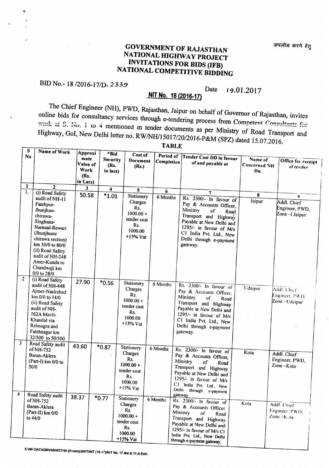### GOVERNMENT OF RAJASTHAN NATIONAL HIGHWAY PROJECT INVITATIONS FOR BIDS (lFB) NATIONAL COMPETITIVE BIDDING

### BID No.- <sup>18</sup> *12016-171D-2339*

#### Date *19.01.2017*

## NIT No. 18 (2016-17)

The Chief Engineer (NH), PWD, Rajasthan, Jaipur on behalf of Governor of Rajasthan, invites online bids for consultancy services through e-tendering process from Competent *Consultants* for work at S. No. 1 to 4 mentioned in tender documents as per Ministry of Road Transport and Highway, GoI, New Delhi letter no. *RW/NHlI5017/20/2016\_P&M* (SPZ) dated 15.07.2016.

| S<br><b>No</b>          | Name of Work                                                                                                                                                                    | Approxi<br>mate<br>Value of<br>Work<br>(Rs.<br>in Lacs) | *Bid<br><b>Security</b><br>(Rs.<br>in lacs) | Cost of<br>Document<br>(Rs.)                                                               | Period of<br>Completion | Tender Cost DD in favour<br>of and payable at                                                                                                                                                                                            | Name of<br><b>Concerned NH</b><br>Dn. | Office for receipt<br>of tender                          |
|-------------------------|---------------------------------------------------------------------------------------------------------------------------------------------------------------------------------|---------------------------------------------------------|---------------------------------------------|--------------------------------------------------------------------------------------------|-------------------------|------------------------------------------------------------------------------------------------------------------------------------------------------------------------------------------------------------------------------------------|---------------------------------------|----------------------------------------------------------|
| 1                       | $\mathbf{2}$                                                                                                                                                                    | 3                                                       | 4                                           | 5                                                                                          |                         |                                                                                                                                                                                                                                          |                                       |                                                          |
| 1.                      | (i) Road Safety                                                                                                                                                                 | 50.58                                                   | $*1.01$                                     | Stationery                                                                                 | 6                       | $\overline{7}$                                                                                                                                                                                                                           | 8                                     | 9                                                        |
|                         | audit of NH-11<br>Fatehpur-<br>Jhunjhun-<br>chirawa-<br>Singhana-<br>Narnual-Rewari<br>(Jhunjhunu<br>chirawa section)<br>km 50/0 to 80/0<br>(ii) Road Safety<br>audit of NH-248 |                                                         |                                             | Charges<br>Rs.<br>$1000.00 +$<br>tender cost<br>Rs.<br>1000.00<br>$+15%$ Vat               | 6 Months                | Rs. 2300/- In favour of<br>Pay & Accounts Officer,<br>Ministry<br>of<br>Road<br>Transport and Highway<br>Payable at New Delhi and<br>1295/- in favour of M/s<br>C1 India Pvt. Ltd., New<br>Delhi through e-payment<br>gateway.           | Jaipur                                | Addl. Chief<br>Engineer, PWD,<br>Zone -I Jaipur          |
| $\overline{2}$          | Amer-Kunda to<br>Chandwaji km<br>$0/0$ to 28/0<br>(i) Road Safety                                                                                                               | 27.90                                                   | $*0.56$                                     | Stationery                                                                                 | 6 Months                |                                                                                                                                                                                                                                          |                                       |                                                          |
|                         | audit of NH-448<br>Ajmer-Nasirabad<br>km 0/0 to 14/0<br>(ii) Road Safety<br>audit of NH-<br>162A Mayli-<br>Khandal via<br>Relmagra and<br>Fatehnagar km                         |                                                         |                                             | Charges<br>Rs.<br>$1000.00 +$<br>tender cost<br>Rs.<br>1000.00<br>$+15%$ Vat               |                         | Rs. $2300/-$ In favour of<br>Pay & Accounts Officer,<br>Ministry<br>οf<br>Road<br>Transport and Highway<br>Payable at New Delhi and<br>1295/- in favour of M/s<br>C1 India Pvt. Ltd., New<br>Delhi through e-payment<br>gateway.         | Udaipur                               | Addl. Chief<br>Engineer, PWD.<br>Zone –Udaipur           |
| 3                       | 32/500 to 50/500                                                                                                                                                                |                                                         |                                             |                                                                                            |                         |                                                                                                                                                                                                                                          |                                       |                                                          |
|                         | Road Safety audit<br>of NH-752                                                                                                                                                  | 43.60                                                   | $*0.87$                                     | Stationery<br>Charges                                                                      | 6 Months                | Rs. 2300/- In favour of                                                                                                                                                                                                                  | Kota                                  | Addl. Chief                                              |
|                         | Baran-Aklera<br>(Part-I) km 0/0 to<br>50/0                                                                                                                                      |                                                         |                                             | Rs.<br>$1000.00 +$<br>tender cost<br>Rs.<br>1000.00<br>$+15\%$ Vat                         |                         | Pay & Accounts Officer,<br>Ministry<br>of<br>Road<br>Transport and Highway<br>Payable at New Delhi and<br>1295/- in favour of M/s<br>CI.<br>India Pvt. Ltd., New<br>Delhi<br>through e-payment                                           |                                       | Engineer, PWD,<br>Zone-Kota                              |
| $\overline{\mathbf{4}}$ | Road Safety audit<br>of NH-752<br>Baran-Aklera<br>(Part-II) km 0/0<br>to 44/0                                                                                                   | 38.37                                                   | $*0.77$                                     | Stationery<br>Charges<br>Rs.<br>$1000.00 +$<br>tender cost<br>Rs.<br>1000.00<br>$+15%$ Vat | 6 Months                | gateway.<br>Rs. 2300/- In favour of<br>Pay & Accounts Officer.<br>Ministry<br>of<br>Road<br>Transport and Highway.<br>Payable at New Delhi and<br>1295/- in favour of M/s C1<br>India Pvt. Ltd., New Delhi<br>through e-payment gateway. | Kota                                  | Addl. Chief<br>Engineer, PWD.<br>Zone $-K_{\text{a}}$ ta |

TABLE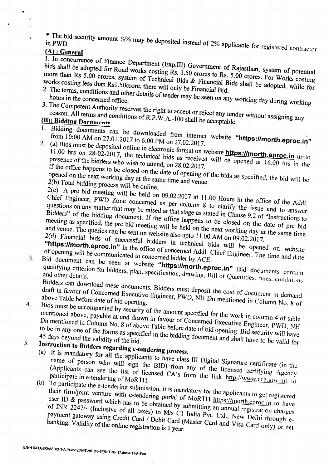<sup>\*</sup> The bid security amount *1/2%* may be deposited instead of 2% applicable for registered contractor in PWD.

"

 $3<sub>1</sub>$ 

I. In concurrence of Finance Department (Exp.III) Government of Rajasthan, system of potential be adopted for Pood with

**(A)**: **General**<br>1. In concurrence of Finance Department (Exp.III) Government of Rajasthan, system of potential more than  $Rs\ 5.00$  crores gypts.  $\frac{1.50}{1.50}$  crores to Rs. 5.00 crores. For W is works costing less than R<sub>al</sub> 5.00 crores, system of Technical Bids  $\&$  Financial Bids shall be adopted, while **works costing less than RsI.50crore, there will only be Financial Bid.** works costing less than Rs1.50crore, there will only be Financial Bid.<br>2. The terms, conditions and other details of tender may be seen on any working day during working

- 3. The Competent Authority reserves the right to accept or reject any tender without assigning any
	-

**reason.** All terms and conditions of R.P.W.A.-100 shall be acceptable.<br> **(B):** Bidding Documents

- $\frac{10.00 \text{ AM}}{2000 \text{ AM}}$  on 27.01.2017 (1.6.2016)  $\frac{10.00 \text{ H}}{200 \text{ rad}}$  from internet website "https://morth. **from 10:00 AM on 27.01.2017 to 6:00 PM on 27.02.2017.**
- 2. (a) Bids must be deposited online in electronic format on website **https://morth.eproc.in** up to Figure 1.00 in 20.02.2017, the technical bids as received will be opened at 16.00 hrs in the presence of the bidders who wish to attend, on 28.02.2017

If the office of the date of opening of the bids as specified, the bidge on the next working density of the bids as specified, the bid **opened on the next working day at the same time and venue. 2(b) Total bidding process will be online.**

2(c) A pre bid meeting will be held on 09.02.2017 at 11.00 Hours in the office of the Addl. Chief Engineer, PWD Zone concerned as per column 8 to clarify the issue and to answer questions on any matter that may be raised at that stage as stated in Clause 9.2 of "Instructions to Bidders" of the bidding document. If the office happens to be closed on the date of pre bid<br>meeting as specified, the pre bid meeting will be held on the next working day at the same time<br>and venue. The queries can be sent and venue. The queries  $\alpha_{\text{max}}$  is the pre bid meeting will be held on the next working day at the same time **and venue. The queries can be sent on** *website* **also upto 11.00 AM on 09.02.2017. '**

2(d) Financial bids of successful bidders in technical bids will be opened on website "https://morth.eproc.in" in the office of concerned Addl. Chief Engineer. The time and date of opening will be communicated to concerne of opening will be communicated.<sup>1</sup> if the office of concerned Addl. Chief Engineer. The time website **of opening will be communicated to concerned bidder by** *ACE.*

3. Bid document can be seen at website **"https:llmorth.eproc.in"** Bid documents contain qualifying criterion for bidders, plan, specification, drawing, Bill of Quantities. rules, conditions

Bidders can download these documents. Bidders must deposit the cost of document in demand<br>draft in favour of Concerned Executive Engineer, PWD, NH Dn mentioned in Column No. 8 of<br>above Table before date of hid opening

draft in favour of Concerned Executive Engineer, PWD, NH Dn mentioned in Column No. 8 of above Table before date of bid opening.<br>Bids must be accompanied by security of the amount specified for the work in column 4 of tabl 4.  $\frac{1}{2}$ . Biggs mentioned above payable at  $\frac{1}{2}$ ,  $\frac{1}{2}$  of the amount specified for the work in column 4 of table Dn mentioned in Column No. 8 of above Table before date of bid opening. Bid security will have Dn mentioned in Column  $M_{\odot}$  of a and drawn in favour of Concerned Executive Engineer, Publisher, Publisher, Publisher, Publisher, Publisher, Publisher, Publisher, Publisher, Publisher, Publisher, Publisher, Publisher, to be in anyone of the forms as specified in the bidding docwnent and shall have to be valid for **<sup>45</sup> days beyond the validity** of the *bid.*

*5.* **Instruction 'to Bidders regarding e-tendering process:**

name of person who will in the applicants to have class-III Digital Signature certification name of person who will sign the BID) from any of the licensed certifying Agency (Applicants can see the list of licensed *CA's* from the link *http://www.cca.gov.in*) to

(b) To participate the e-tendering submission, it is mandatory for the applicants to get registered their firm/joint venture with e-tendering portal of MoRTH *https://morth.eproc.in* to have user ID  $\&$  password which has to be obtained by submitting an annual registration charges of INR 2247/- (Inclusive of all taxes) to M/s C1 India Pvt. Ltd., New Delhi through e-<br>payment gateway using Credit Card / Debit Card (Master Card and Visa Card only) or net<br>banking. Validity of the online registration is **payment gateway** *using* **Credit Card / Debit Card (Master Card and Visa Card only) or net banking. Validity of the online registration is I year.**